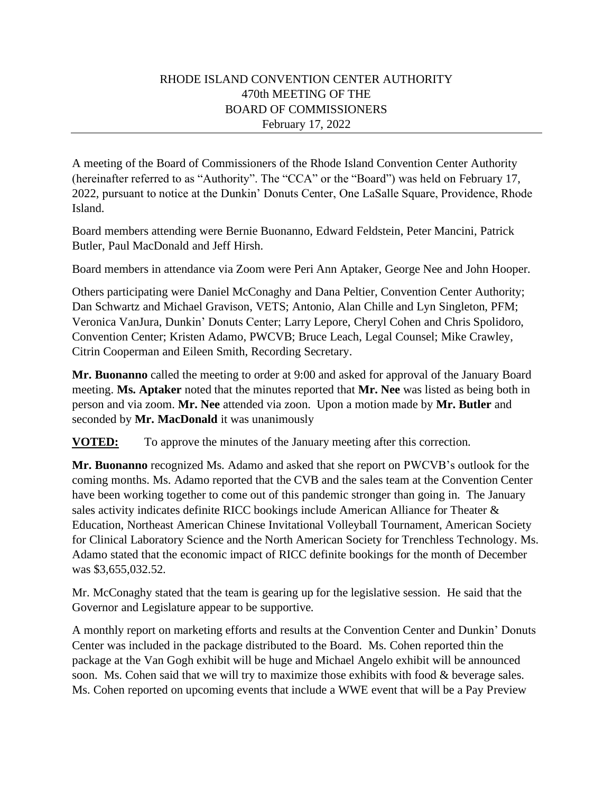## RHODE ISLAND CONVENTION CENTER AUTHORITY 470th MEETING OF THE BOARD OF COMMISSIONERS February 17, 2022

A meeting of the Board of Commissioners of the Rhode Island Convention Center Authority (hereinafter referred to as "Authority". The "CCA" or the "Board") was held on February 17, 2022, pursuant to notice at the Dunkin' Donuts Center, One LaSalle Square, Providence, Rhode Island.

Board members attending were Bernie Buonanno, Edward Feldstein, Peter Mancini, Patrick Butler, Paul MacDonald and Jeff Hirsh.

Board members in attendance via Zoom were Peri Ann Aptaker, George Nee and John Hooper.

Others participating were Daniel McConaghy and Dana Peltier, Convention Center Authority; Dan Schwartz and Michael Gravison, VETS; Antonio, Alan Chille and Lyn Singleton, PFM; Veronica VanJura, Dunkin' Donuts Center; Larry Lepore, Cheryl Cohen and Chris Spolidoro, Convention Center; Kristen Adamo, PWCVB; Bruce Leach, Legal Counsel; Mike Crawley, Citrin Cooperman and Eileen Smith, Recording Secretary.

**Mr. Buonanno** called the meeting to order at 9:00 and asked for approval of the January Board meeting. **Ms. Aptaker** noted that the minutes reported that **Mr. Nee** was listed as being both in person and via zoom. **Mr. Nee** attended via zoon. Upon a motion made by **Mr. Butler** and seconded by **Mr. MacDonald** it was unanimously

**VOTED:** To approve the minutes of the January meeting after this correction.

**Mr. Buonanno** recognized Ms. Adamo and asked that she report on PWCVB's outlook for the coming months. Ms. Adamo reported that the CVB and the sales team at the Convention Center have been working together to come out of this pandemic stronger than going in. The January sales activity indicates definite RICC bookings include American Alliance for Theater & Education, Northeast American Chinese Invitational Volleyball Tournament, American Society for Clinical Laboratory Science and the North American Society for Trenchless Technology. Ms. Adamo stated that the economic impact of RICC definite bookings for the month of December was \$3,655,032.52.

Mr. McConaghy stated that the team is gearing up for the legislative session. He said that the Governor and Legislature appear to be supportive.

A monthly report on marketing efforts and results at the Convention Center and Dunkin' Donuts Center was included in the package distributed to the Board. Ms. Cohen reported thin the package at the Van Gogh exhibit will be huge and Michael Angelo exhibit will be announced soon. Ms. Cohen said that we will try to maximize those exhibits with food & beverage sales. Ms. Cohen reported on upcoming events that include a WWE event that will be a Pay Preview